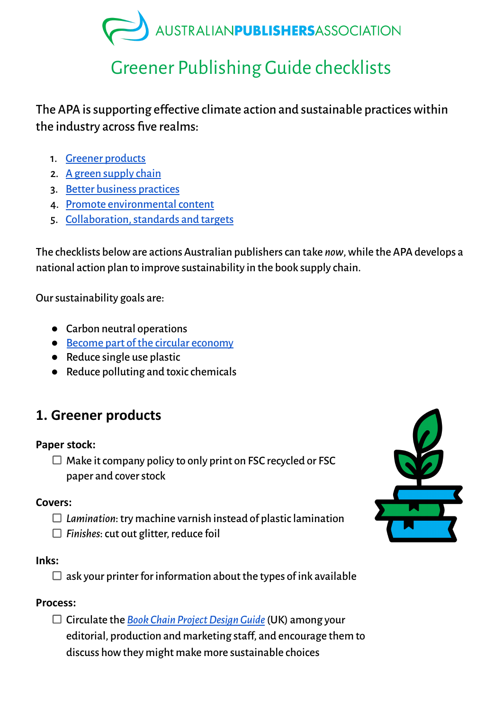# AUSTRALIANPUBLISHERSASSOCIATION

## Greener Publishing Guide checklists

The APA is supporting effective climate action and sustainable practices within the industry across five realms:

- 1. Greener [products](https://www.publishers.asn.au//Web/Member-Resources/Support/Sustainability/Sustainable-products.aspx)
- 2. A green [supply](https://www.publishers.asn.au/Web/Member-Resources/Support/Sustainability/Green-Supply-Chain.aspx) chain
- 3. Better business [practices](https://www.publishers.asn.au/Web/Member-Resources/Support/Sustainability/better-business-practices.aspx)
- 4. Promote environmental content
- 5. Collaboration, standards and targets

The checklists beloware actions Australian publisherscan take *now*,while the APA develops a national action plan to improve sustainability in the book supply chain.

Oursustainability goals are:

- Carbon neutral operations
- Become part of the circular [economy](https://en.wikipedia.org/wiki/Circular_economy)
- Reduce single use plastic
- Reduce polluting and toxic chemicals

## **1. Greener products**

#### **Paper stock:**

 $\Box$  Make it company policy to only print on FSC recycled or FSC paper and cover stock

#### **Covers:**

- *Lamination*:try machine varnish instead of plasticlamination
- $\Box$  Finishes: cut out glitter, reduce foil

#### **Inks:**

 $\Box$  ask your printer for information about the types of ink available

#### **Process:**

Circulate the *Book Chain [ProjectDesignGuide](https://carnstone.com/insight?insight=97)*(UK) among your editorial, production and marketing staff, and encourage them to discuss howthey might make more sustainable choices

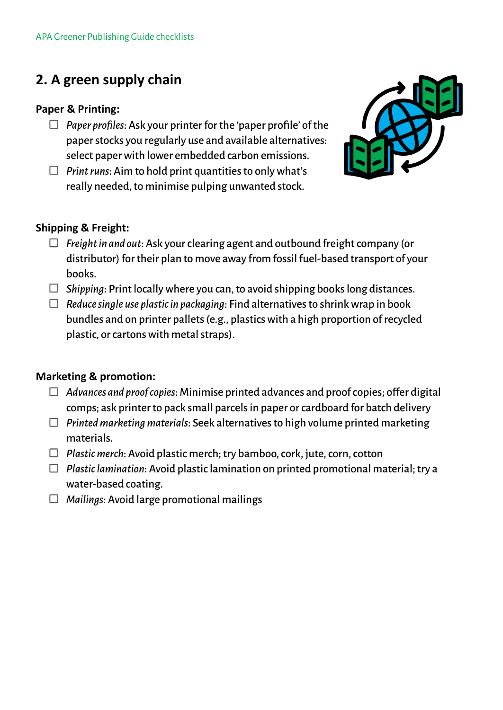## **2. A green supply chain**

#### **Paper & Printing:**

- $\Box$  *Paper profiles:* Ask your printer for the 'paper profile' of the paperstocks you regularly use and available alternatives: select paperwith lower embedded carbon emissions.
- $\Box$  *Print runs:* Aim to hold print quantities to only what's really needed, to minimise pulping unwanted stock.



#### **Shipping & Freight:**

- *Freightin and out*: Ask yourclearing agent and outbound freightcompany (or distributor) fortheir plan to move away from fossil fuel-based transport of your books.
- $\Box$  *Shipping*: Print locally where you can, to avoid shipping books long distances.
- $\Box$  Reduce single use plastic in packaging: Find alternatives to shrink wrap in book bundles and on printer pallets (e.g., plastics with a high proportion of recycled plastic, or cartons with metal straps).

#### **Marketing & promotion:**

- *Advances and proofcopies*: Minimise printed advances and proofcopies; offer digital comps; ask printer to pack small parcels in paper or cardboard for batch delivery
- *Printedmarketingmaterials*: Seek alternativesto high volume printed marketing materials.
- *Plasticmerch*: Avoid plastic merch;try bamboo,cork, jute,corn,cotton
- *Plasticlamination*: Avoid plasticlamination on printed promotional material;try a water-based coating.
- *Mailings*: Avoid large promotional mailings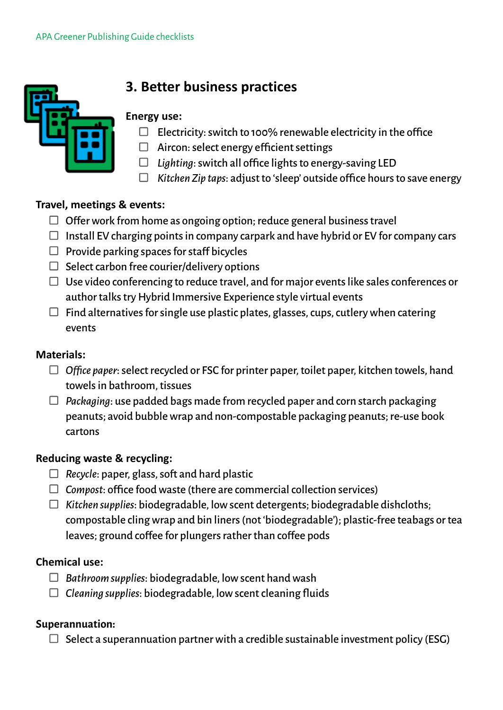

## **3. Better business practices**

#### **Energy use:**

- $\Box$  Electricity: switch to 100% renewable electricity in the office
- $\Box$  Aircon: select energy efficient settings
- $\Box$  Lighting: switch all office lights to energy-saving LED
- *Kitchen Zip taps*: adjustto 'sleep' outside office hoursto save energy

#### **Travel, meetings & events:**

- $\Box$  Offer work from home as ongoing option; reduce general business travel
- $\Box$  Install EV charging points in company carpark and have hybrid or EV for company cars
- $\Box$  Provide parking spaces for staff bicycles
- $\Box$  Select carbon free courier/delivery options
- $\Box$  Use video conferencing to reduce travel, and for major events like sales conferences or author talks try Hybrid Immersive Experience style virtual events
- $\Box$  Find alternatives for single use plastic plates, glasses, cups, cutlery when catering events

#### **Materials:**

- $\Box$  Office paper: select recycled or FSC for printer paper, toilet paper, kitchen towels, hand towels in bathroom, tissues
- *Packaging*: use padded bags made from recycled paper and corn starch packaging peanuts; avoid bubblewrap and non-compostable packaging peanuts;re-use book cartons

#### **Reducing waste & recycling:**

- $\Box$  Recycle: paper, glass, soft and hard plastic
- $\Box$  *Compost*: office food waste (there are commercial collection services)
- *Kitchen supplies*: biodegradable, lowscent detergents; biodegradable dishcloths; compostable clingwrap and bin liners(not'biodegradable'); plastic-free teabags ortea leaves; ground coffee for plungers rather than coffee pods

#### **Chemical use:**

- *Bathroomsupplies*: biodegradable, lowscent handwash
- $\Box$  Cleaning *supplies*: biodegradable, low scent cleaning fluids

#### **Superannuation:**

 $\Box$  Select a superannuation partner with a credible sustainable investment policy (ESG)